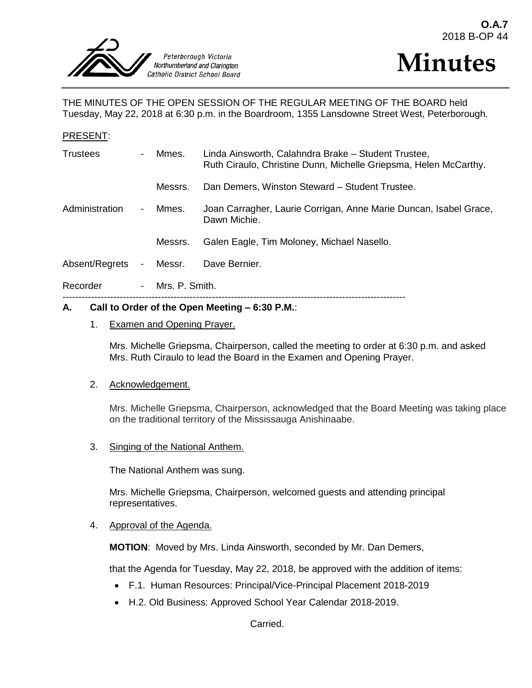

PRESENT:



THE MINUTES OF THE OPEN SESSION OF THE REGULAR MEETING OF THE BOARD held Tuesday, May 22, 2018 at 6:30 p.m. in the Boardroom, 1355 Lansdowne Street West, Peterborough.

| Call to Order of the Open Meeting $-6:30$ P.M.:<br>А. |                          |                  |                                                                                                                         |
|-------------------------------------------------------|--------------------------|------------------|-------------------------------------------------------------------------------------------------------------------------|
| Recorder                                              |                          | - Mrs. P. Smith. |                                                                                                                         |
| Absent/Regrets                                        | $\blacksquare$           | Messr.           | Dave Bernier.                                                                                                           |
|                                                       |                          | Messrs.          | Galen Eagle, Tim Moloney, Michael Nasello.                                                                              |
| Administration                                        | $\blacksquare$           | Mmes.            | Joan Carragher, Laurie Corrigan, Anne Marie Duncan, Isabel Grace,<br>Dawn Michie.                                       |
|                                                       |                          | Messrs.          | Dan Demers, Winston Steward - Student Trustee.                                                                          |
| <b>Trustees</b>                                       | $\overline{\phantom{0}}$ | Mmes.            | Linda Ainsworth, Calahndra Brake - Student Trustee,<br>Ruth Ciraulo, Christine Dunn, Michelle Griepsma, Helen McCarthy. |
| PRESENT:                                              |                          |                  |                                                                                                                         |

# 1. Examen and Opening Prayer.

Mrs. Michelle Griepsma, Chairperson, called the meeting to order at 6:30 p.m. and asked Mrs. Ruth Ciraulo to lead the Board in the Examen and Opening Prayer.

#### 2. Acknowledgement.

Mrs. Michelle Griepsma, Chairperson, acknowledged that the Board Meeting was taking place on the traditional territory of the Mississauga Anishinaabe.

3. Singing of the National Anthem.

The National Anthem was sung.

Mrs. Michelle Griepsma, Chairperson, welcomed guests and attending principal representatives.

#### 4. Approval of the Agenda.

**MOTION**: Moved by Mrs. Linda Ainsworth, seconded by Mr. Dan Demers,

that the Agenda for Tuesday, May 22, 2018, be approved with the addition of items:

- F.1. Human Resources: Principal/Vice-Principal Placement 2018-2019
- H.2. Old Business: Approved School Year Calendar 2018-2019.

Carried.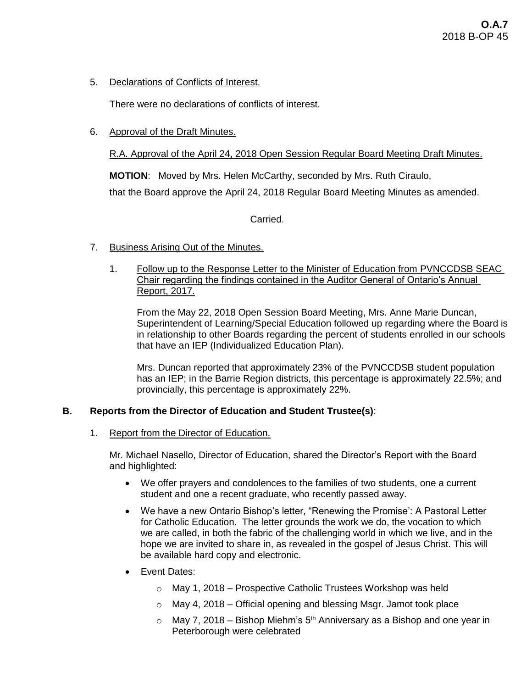5. Declarations of Conflicts of Interest.

There were no declarations of conflicts of interest.

6. Approval of the Draft Minutes.

# R.A. Approval of the April 24, 2018 Open Session Regular Board Meeting Draft Minutes.

**MOTION**: Moved by Mrs. Helen McCarthy, seconded by Mrs. Ruth Ciraulo,

that the Board approve the April 24, 2018 Regular Board Meeting Minutes as amended.

Carried.

- 7. Business Arising Out of the Minutes.
	- 1. Follow up to the Response Letter to the Minister of Education from PVNCCDSB SEAC Chair regarding the findings contained in the Auditor General of Ontario's Annual Report, 2017.

From the May 22, 2018 Open Session Board Meeting, Mrs. Anne Marie Duncan, Superintendent of Learning/Special Education followed up regarding where the Board is in relationship to other Boards regarding the percent of students enrolled in our schools that have an IEP (Individualized Education Plan).

Mrs. Duncan reported that approximately 23% of the PVNCCDSB student population has an IEP; in the Barrie Region districts, this percentage is approximately 22.5%; and provincially, this percentage is approximately 22%.

# **B. Reports from the Director of Education and Student Trustee(s)**:

1. Report from the Director of Education.

Mr. Michael Nasello, Director of Education, shared the Director's Report with the Board and highlighted:

- We offer prayers and condolences to the families of two students, one a current student and one a recent graduate, who recently passed away.
- We have a new Ontario Bishop's letter, "Renewing the Promise': A Pastoral Letter for Catholic Education. The letter grounds the work we do, the vocation to which we are called, in both the fabric of the challenging world in which we live, and in the hope we are invited to share in, as revealed in the gospel of Jesus Christ. This will be available hard copy and electronic.
- Event Dates:
	- o May 1, 2018 Prospective Catholic Trustees Workshop was held
	- $\circ$  May 4, 2018 Official opening and blessing Msgr. Jamot took place
	- $\circ$  May 7, 2018 Bishop Miehm's 5<sup>th</sup> Anniversary as a Bishop and one year in Peterborough were celebrated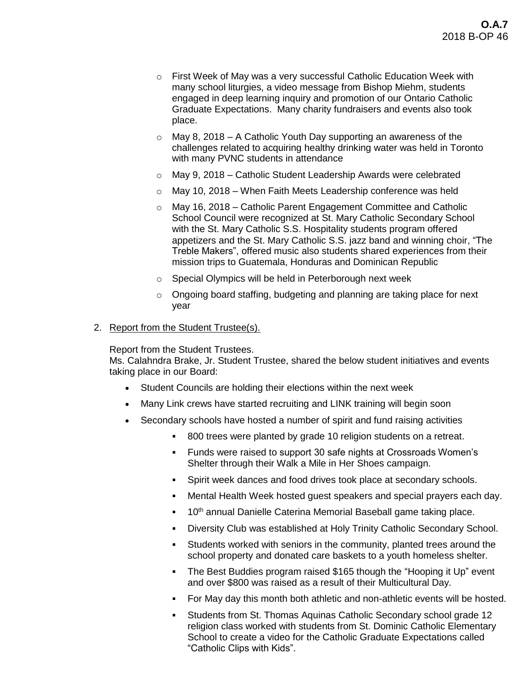- o First Week of May was a very successful Catholic Education Week with many school liturgies, a video message from Bishop Miehm, students engaged in deep learning inquiry and promotion of our Ontario Catholic Graduate Expectations. Many charity fundraisers and events also took place.
- $\circ$  May 8, 2018 A Catholic Youth Day supporting an awareness of the challenges related to acquiring healthy drinking water was held in Toronto with many PVNC students in attendance
- $\circ$  May 9, 2018 Catholic Student Leadership Awards were celebrated
- o May 10, 2018 When Faith Meets Leadership conference was held
- o May 16, 2018 Catholic Parent Engagement Committee and Catholic School Council were recognized at St. Mary Catholic Secondary School with the St. Mary Catholic S.S. Hospitality students program offered appetizers and the St. Mary Catholic S.S. jazz band and winning choir, "The Treble Makers", offered music also students shared experiences from their mission trips to Guatemala, Honduras and Dominican Republic
- o Special Olympics will be held in Peterborough next week
- $\circ$  Ongoing board staffing, budgeting and planning are taking place for next year

# 2. Report from the Student Trustee(s).

Report from the Student Trustees.

Ms. Calahndra Brake, Jr. Student Trustee, shared the below student initiatives and events taking place in our Board:

- Student Councils are holding their elections within the next week
- Many Link crews have started recruiting and LINK training will begin soon
- Secondary schools have hosted a number of spirit and fund raising activities
	- 800 trees were planted by grade 10 religion students on a retreat.
	- Funds were raised to support 30 safe nights at Crossroads Women's Shelter through their Walk a Mile in Her Shoes campaign.
	- Spirit week dances and food drives took place at secondary schools.
	- Mental Health Week hosted guest speakers and special prayers each day.
	- <sup>10th</sup> annual Danielle Caterina Memorial Baseball game taking place.
	- Diversity Club was established at Holy Trinity Catholic Secondary School.
	- Students worked with seniors in the community, planted trees around the school property and donated care baskets to a youth homeless shelter.
	- The Best Buddies program raised \$165 though the "Hooping it Up" event and over \$800 was raised as a result of their Multicultural Day.
	- For May day this month both athletic and non-athletic events will be hosted.
	- Students from St. Thomas Aquinas Catholic Secondary school grade 12 religion class worked with students from St. Dominic Catholic Elementary School to create a video for the Catholic Graduate Expectations called "Catholic Clips with Kids".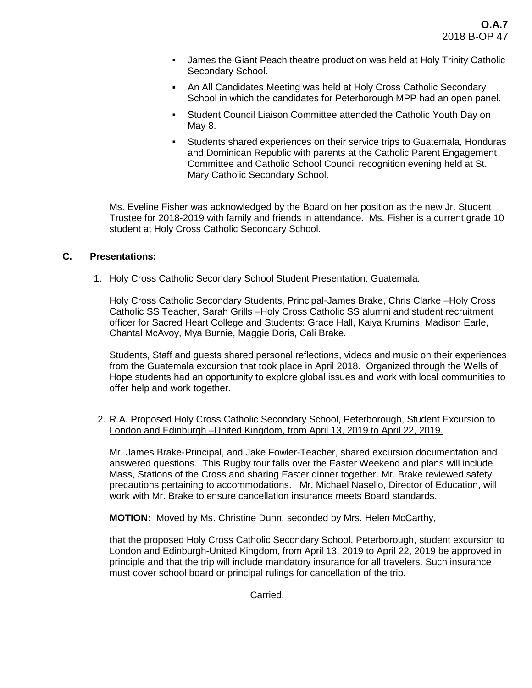- James the Giant Peach theatre production was held at Holy Trinity Catholic Secondary School.
- An All Candidates Meeting was held at Holy Cross Catholic Secondary School in which the candidates for Peterborough MPP had an open panel.
- Student Council Liaison Committee attended the Catholic Youth Day on May 8.
- Students shared experiences on their service trips to Guatemala, Honduras and Dominican Republic with parents at the Catholic Parent Engagement Committee and Catholic School Council recognition evening held at St. Mary Catholic Secondary School.

Ms. Eveline Fisher was acknowledged by the Board on her position as the new Jr. Student Trustee for 2018-2019 with family and friends in attendance. Ms. Fisher is a current grade 10 student at Holy Cross Catholic Secondary School.

# **C. Presentations:**

# 1. Holy Cross Catholic Secondary School Student Presentation: Guatemala.

Holy Cross Catholic Secondary Students, Principal-James Brake, Chris Clarke –Holy Cross Catholic SS Teacher, Sarah Grills –Holy Cross Catholic SS alumni and student recruitment officer for Sacred Heart College and Students: Grace Hall, Kaiya Krumins, Madison Earle, Chantal McAvoy, Mya Burnie, Maggie Doris, Cali Brake.

Students, Staff and guests shared personal reflections, videos and music on their experiences from the Guatemala excursion that took place in April 2018. Organized through the Wells of Hope students had an opportunity to explore global issues and work with local communities to offer help and work together.

### 2. R.A. Proposed Holy Cross Catholic Secondary School, Peterborough, Student Excursion to London and Edinburgh –United Kingdom, from April 13, 2019 to April 22, 2019.

Mr. James Brake-Principal, and Jake Fowler-Teacher, shared excursion documentation and answered questions. This Rugby tour falls over the Easter Weekend and plans will include Mass, Stations of the Cross and sharing Easter dinner together. Mr. Brake reviewed safety precautions pertaining to accommodations. Mr. Michael Nasello, Director of Education, will work with Mr. Brake to ensure cancellation insurance meets Board standards.

**MOTION:** Moved by Ms. Christine Dunn, seconded by Mrs. Helen McCarthy,

that the proposed Holy Cross Catholic Secondary School, Peterborough, student excursion to London and Edinburgh-United Kingdom, from April 13, 2019 to April 22, 2019 be approved in principle and that the trip will include mandatory insurance for all travelers. Such insurance must cover school board or principal rulings for cancellation of the trip.

Carried.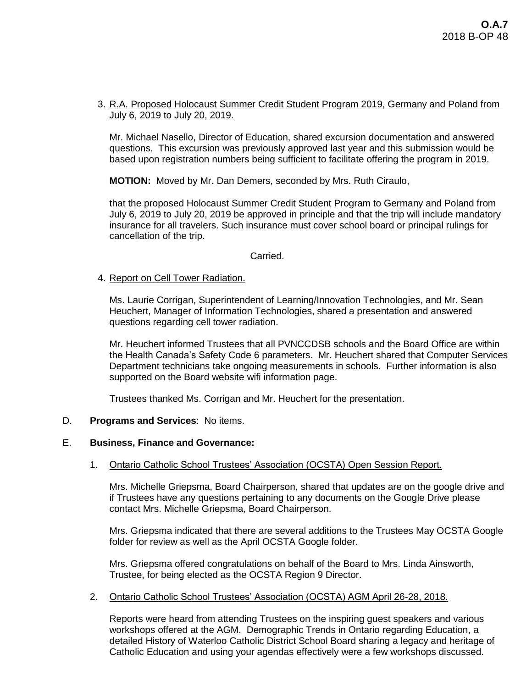### 3. R.A. Proposed Holocaust Summer Credit Student Program 2019, Germany and Poland from July 6, 2019 to July 20, 2019.

Mr. Michael Nasello, Director of Education, shared excursion documentation and answered questions. This excursion was previously approved last year and this submission would be based upon registration numbers being sufficient to facilitate offering the program in 2019.

**MOTION:** Moved by Mr. Dan Demers, seconded by Mrs. Ruth Ciraulo,

that the proposed Holocaust Summer Credit Student Program to Germany and Poland from July 6, 2019 to July 20, 2019 be approved in principle and that the trip will include mandatory insurance for all travelers. Such insurance must cover school board or principal rulings for cancellation of the trip.

#### Carried.

### 4. Report on Cell Tower Radiation.

Ms. Laurie Corrigan, Superintendent of Learning/Innovation Technologies, and Mr. Sean Heuchert, Manager of Information Technologies, shared a presentation and answered questions regarding cell tower radiation.

Mr. Heuchert informed Trustees that all PVNCCDSB schools and the Board Office are within the Health Canada's Safety Code 6 parameters. Mr. Heuchert shared that Computer Services Department technicians take ongoing measurements in schools. Further information is also supported on the Board website wifi information page.

Trustees thanked Ms. Corrigan and Mr. Heuchert for the presentation.

#### D. **Programs and Services**: No items.

#### E. **Business, Finance and Governance:**

#### 1. Ontario Catholic School Trustees' Association (OCSTA) Open Session Report.

Mrs. Michelle Griepsma, Board Chairperson, shared that updates are on the google drive and if Trustees have any questions pertaining to any documents on the Google Drive please contact Mrs. Michelle Griepsma, Board Chairperson.

Mrs. Griepsma indicated that there are several additions to the Trustees May OCSTA Google folder for review as well as the April OCSTA Google folder.

Mrs. Griepsma offered congratulations on behalf of the Board to Mrs. Linda Ainsworth, Trustee, for being elected as the OCSTA Region 9 Director.

#### 2. Ontario Catholic School Trustees' Association (OCSTA) AGM April 26-28, 2018.

Reports were heard from attending Trustees on the inspiring guest speakers and various workshops offered at the AGM. Demographic Trends in Ontario regarding Education, a detailed History of Waterloo Catholic District School Board sharing a legacy and heritage of Catholic Education and using your agendas effectively were a few workshops discussed.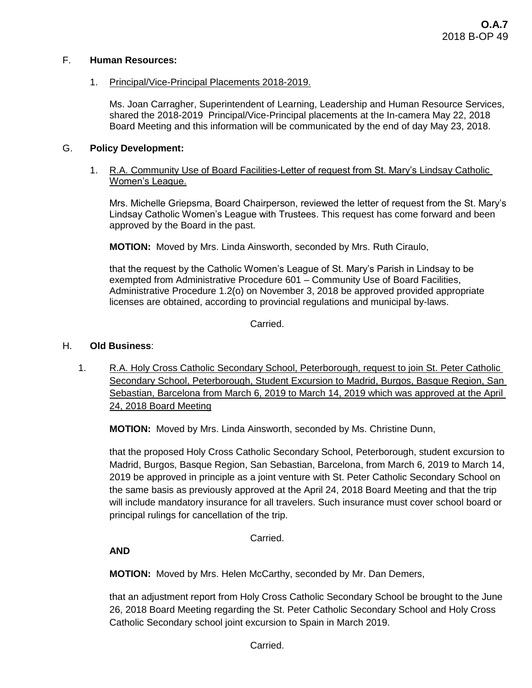# F. **Human Resources:**

# 1. Principal/Vice-Principal Placements 2018-2019.

Ms. Joan Carragher, Superintendent of Learning, Leadership and Human Resource Services, shared the 2018-2019 Principal/Vice-Principal placements at the In-camera May 22, 2018 Board Meeting and this information will be communicated by the end of day May 23, 2018.

# G. **Policy Development:**

# 1. R.A. Community Use of Board Facilities-Letter of request from St. Mary's Lindsay Catholic Women's League.

Mrs. Michelle Griepsma, Board Chairperson, reviewed the letter of request from the St. Mary's Lindsay Catholic Women's League with Trustees. This request has come forward and been approved by the Board in the past.

**MOTION:** Moved by Mrs. Linda Ainsworth, seconded by Mrs. Ruth Ciraulo,

that the request by the Catholic Women's League of St. Mary's Parish in Lindsay to be exempted from Administrative Procedure 601 – Community Use of Board Facilities, Administrative Procedure 1.2(o) on November 3, 2018 be approved provided appropriate licenses are obtained, according to provincial regulations and municipal by-laws.

Carried.

# H. **Old Business**:

1. R.A. Holy Cross Catholic Secondary School, Peterborough, request to join St. Peter Catholic Secondary School, Peterborough, Student Excursion to Madrid, Burgos, Basque Region, San Sebastian, Barcelona from March 6, 2019 to March 14, 2019 which was approved at the April 24, 2018 Board Meeting

**MOTION:** Moved by Mrs. Linda Ainsworth, seconded by Ms. Christine Dunn,

that the proposed Holy Cross Catholic Secondary School, Peterborough, student excursion to Madrid, Burgos, Basque Region, San Sebastian, Barcelona, from March 6, 2019 to March 14, 2019 be approved in principle as a joint venture with St. Peter Catholic Secondary School on the same basis as previously approved at the April 24, 2018 Board Meeting and that the trip will include mandatory insurance for all travelers. Such insurance must cover school board or principal rulings for cancellation of the trip.

Carried.

**AND**

**MOTION:** Moved by Mrs. Helen McCarthy, seconded by Mr. Dan Demers,

that an adjustment report from Holy Cross Catholic Secondary School be brought to the June 26, 2018 Board Meeting regarding the St. Peter Catholic Secondary School and Holy Cross Catholic Secondary school joint excursion to Spain in March 2019.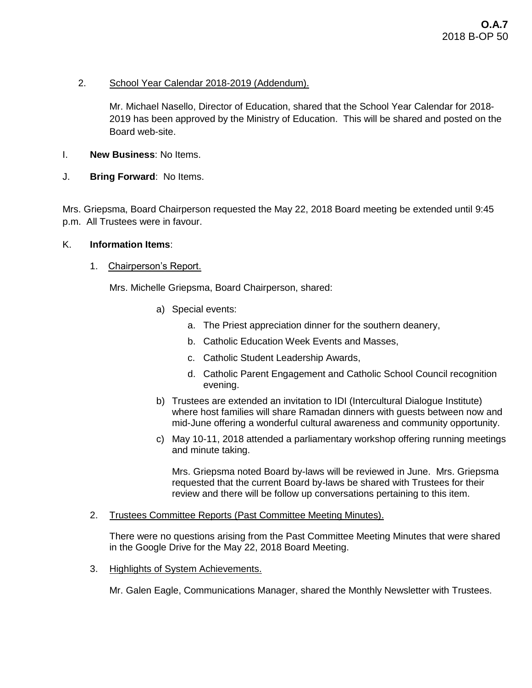# 2. School Year Calendar 2018-2019 (Addendum).

Mr. Michael Nasello, Director of Education, shared that the School Year Calendar for 2018- 2019 has been approved by the Ministry of Education. This will be shared and posted on the Board web-site.

- I. **New Business**: No Items.
- J. **Bring Forward**: No Items.

Mrs. Griepsma, Board Chairperson requested the May 22, 2018 Board meeting be extended until 9:45 p.m. All Trustees were in favour.

# K. **Information Items**:

1. Chairperson's Report.

Mrs. Michelle Griepsma, Board Chairperson, shared:

- a) Special events:
	- a. The Priest appreciation dinner for the southern deanery,
	- b. Catholic Education Week Events and Masses,
	- c. Catholic Student Leadership Awards,
	- d. Catholic Parent Engagement and Catholic School Council recognition evening.
- b) Trustees are extended an invitation to IDI (Intercultural Dialogue Institute) where host families will share Ramadan dinners with guests between now and mid-June offering a wonderful cultural awareness and community opportunity.
- c) May 10-11, 2018 attended a parliamentary workshop offering running meetings and minute taking.

Mrs. Griepsma noted Board by-laws will be reviewed in June. Mrs. Griepsma requested that the current Board by-laws be shared with Trustees for their review and there will be follow up conversations pertaining to this item.

2. Trustees Committee Reports (Past Committee Meeting Minutes).

There were no questions arising from the Past Committee Meeting Minutes that were shared in the Google Drive for the May 22, 2018 Board Meeting.

3. Highlights of System Achievements.

Mr. Galen Eagle, Communications Manager, shared the Monthly Newsletter with Trustees.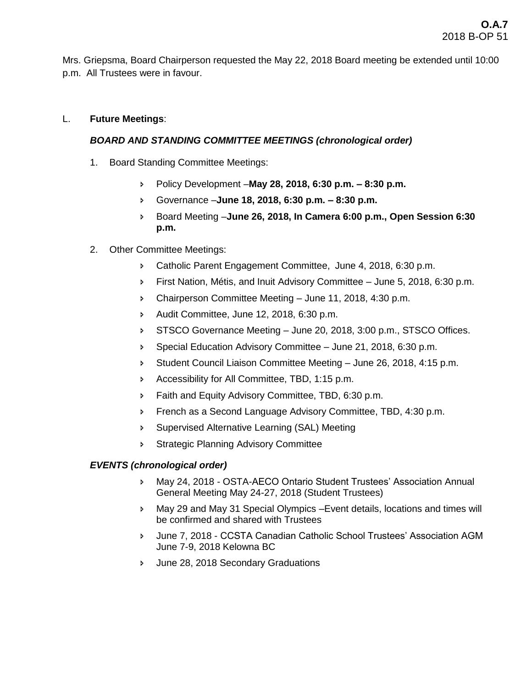Mrs. Griepsma, Board Chairperson requested the May 22, 2018 Board meeting be extended until 10:00 p.m. All Trustees were in favour.

# L. **Future Meetings**:

# *BOARD AND STANDING COMMITTEE MEETINGS (chronological order)*

- 1. Board Standing Committee Meetings:
	- Policy Development –**May 28, 2018, 6:30 p.m. – 8:30 p.m.**
	- Governance –**June 18, 2018, 6:30 p.m. – 8:30 p.m.**
	- Board Meeting –**June 26, 2018, In Camera 6:00 p.m., Open Session 6:30 p.m.**
- 2. Other Committee Meetings:
	- **EXEC** 2018, 6:30 p.m. Catholic Parent Engagement Committee, June 4, 2018, 6:30 p.m.
	- First Nation, Métis, and Inuit Advisory Committee June 5, 2018, 6:30 p.m.
	- Chairperson Committee Meeting June 11, 2018, 4:30 p.m.
	- Audit Committee, June 12, 2018, 6:30 p.m.
	- STSCO Governance Meeting June 20, 2018, 3:00 p.m., STSCO Offices.
	- Special Education Advisory Committee June 21, 2018, 6:30 p.m.
	- Student Council Liaison Committee Meeting June 26, 2018, 4:15 p.m.
	- Accessibility for All Committee, TBD, 1:15 p.m.
	- **Faith and Equity Advisory Committee, TBD, 6:30 p.m.**
	- French as a Second Language Advisory Committee, TBD, 4:30 p.m.
	- Supervised Alternative Learning (SAL) Meeting
	- **Strategic Planning Advisory Committee**

# *EVENTS (chronological order)*

- May 24, 2018 OSTA-AECO Ontario Student Trustees' Association Annual General Meeting May 24-27, 2018 (Student Trustees)
- May 29 and May 31 Special Olympics –Event details, locations and times will be confirmed and shared with Trustees
- June 7, 2018 CCSTA Canadian Catholic School Trustees' Association AGM June 7-9, 2018 Kelowna BC
- June 28, 2018 Secondary Graduations